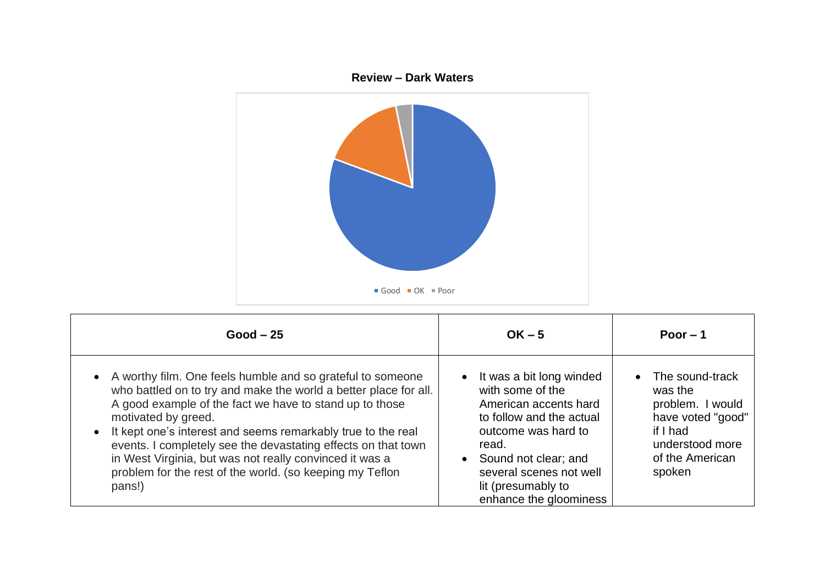

| $Good - 25$                                                                                                                                                                                                                                                                                                                                                                                                                                                                        | $OK - 5$                                                                                                                                                                                                                             | Poor $-1$                                                                                                                       |
|------------------------------------------------------------------------------------------------------------------------------------------------------------------------------------------------------------------------------------------------------------------------------------------------------------------------------------------------------------------------------------------------------------------------------------------------------------------------------------|--------------------------------------------------------------------------------------------------------------------------------------------------------------------------------------------------------------------------------------|---------------------------------------------------------------------------------------------------------------------------------|
| A worthy film. One feels humble and so grateful to someone<br>who battled on to try and make the world a better place for all.<br>A good example of the fact we have to stand up to those<br>motivated by greed.<br>It kept one's interest and seems remarkably true to the real<br>events. I completely see the devastating effects on that town<br>in West Virginia, but was not really convinced it was a<br>problem for the rest of the world. (so keeping my Teflon<br>pans!) | It was a bit long winded<br>with some of the<br>American accents hard<br>to follow and the actual<br>outcome was hard to<br>read.<br>Sound not clear; and<br>several scenes not well<br>lit (presumably to<br>enhance the gloominess | The sound-track<br>was the<br>problem. I would<br>have voted "good"<br>if I had<br>understood more<br>of the American<br>spoken |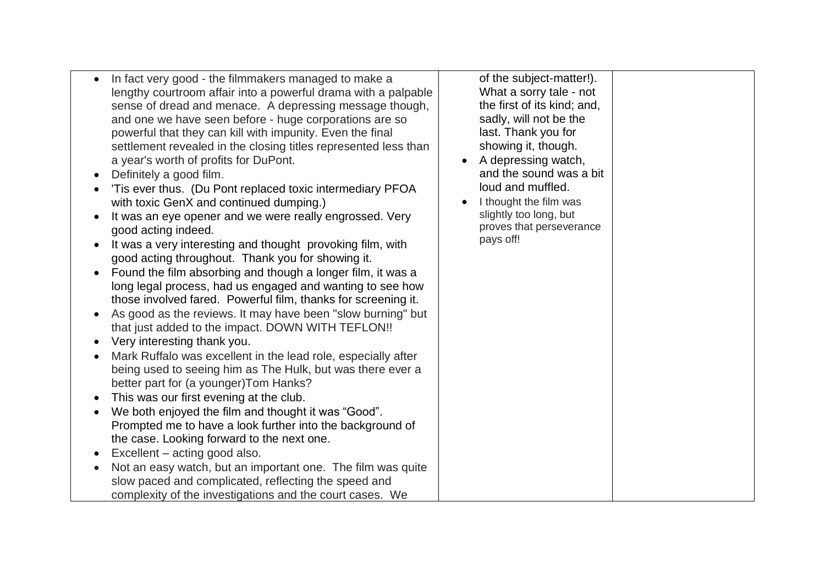| What a sorry tale - not<br>lengthy courtroom affair into a powerful drama with a palpable<br>the first of its kind; and,<br>sense of dread and menace. A depressing message though,<br>sadly, will not be the<br>and one we have seen before - huge corporations are so<br>last. Thank you for<br>powerful that they can kill with impunity. Even the final<br>showing it, though.<br>settlement revealed in the closing titles represented less than<br>A depressing watch,<br>and the sound was a bit<br>loud and muffled.<br>'Tis ever thus. (Du Pont replaced toxic intermediary PFOA<br>I thought the film was<br>slightly too long, but<br>It was an eye opener and we were really engrossed. Very<br>proves that perseverance<br>pays off!<br>It was a very interesting and thought provoking film, with<br>Found the film absorbing and though a longer film, it was a<br>long legal process, had us engaged and wanting to see how<br>those involved fared. Powerful film, thanks for screening it.<br>As good as the reviews. It may have been "slow burning" but<br>that just added to the impact. DOWN WITH TEFLON!!<br>Mark Ruffalo was excellent in the lead role, especially after<br>being used to seeing him as The Hulk, but was there ever a<br>We both enjoyed the film and thought it was "Good".<br>Prompted me to have a look further into the background of<br>Not an easy watch, but an important one. The film was quite<br>slow paced and complicated, reflecting the speed and<br>complexity of the investigations and the court cases. We |
|------------------------------------------------------------------------------------------------------------------------------------------------------------------------------------------------------------------------------------------------------------------------------------------------------------------------------------------------------------------------------------------------------------------------------------------------------------------------------------------------------------------------------------------------------------------------------------------------------------------------------------------------------------------------------------------------------------------------------------------------------------------------------------------------------------------------------------------------------------------------------------------------------------------------------------------------------------------------------------------------------------------------------------------------------------------------------------------------------------------------------------------------------------------------------------------------------------------------------------------------------------------------------------------------------------------------------------------------------------------------------------------------------------------------------------------------------------------------------------------------------------------------------------------------------------------------|
|------------------------------------------------------------------------------------------------------------------------------------------------------------------------------------------------------------------------------------------------------------------------------------------------------------------------------------------------------------------------------------------------------------------------------------------------------------------------------------------------------------------------------------------------------------------------------------------------------------------------------------------------------------------------------------------------------------------------------------------------------------------------------------------------------------------------------------------------------------------------------------------------------------------------------------------------------------------------------------------------------------------------------------------------------------------------------------------------------------------------------------------------------------------------------------------------------------------------------------------------------------------------------------------------------------------------------------------------------------------------------------------------------------------------------------------------------------------------------------------------------------------------------------------------------------------------|